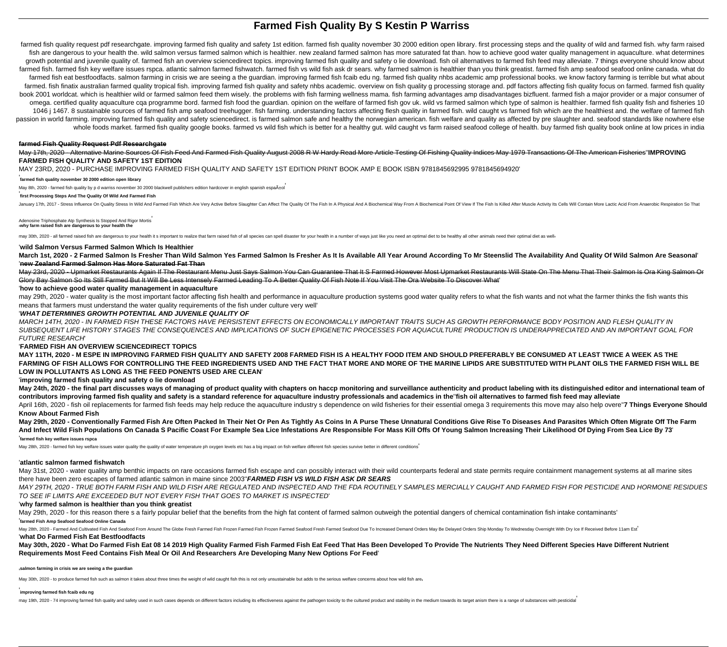# **Farmed Fish Quality By S Kestin P Warriss**

farmed fish quality request pdf researchgate. improving farmed fish quality and safety 1st edition. farmed fish quality november 30 2000 edition open library. first processing steps and the quality of wild and farmed fish. fish are dangerous to your health the. wild salmon versus farmed salmon which is healthier. new zealand farmed salmon has more saturated fat than. how to achieve good water quality management in aquaculture. what determine growth potential and juvenile quality of. farmed fish an overview sciencedirect topics. improving farmed fish quality and safety o lie download. fish oil alternatives to farmed fish feed may alleviate. 7 things everyone sh farmed fish. farmed fish key welfare issues rspca, atlantic salmon farmed fishwatch, farmed fish vs wild fish ask dr sears, why farmed salmon is healthier than you think greatist, farmed fish amp seafood seafood online can farmed fish eat bestfoodfacts, salmon farming in crisis we are seeing a the quardian, improving farmed fish fcaib edu ng, farmed fish quality nhbs academic amp professional books, we know factory farming is terrible but wh farmed. fish finatix australian farmed quality tropical fish. improving farmed fish quality and safety nhbs academic. overview on fish quality g processing storage and. pdf factors affecting fish quality focus on farmed. f book 2001 worldcat. which is healthier wild or farmed salmon feed them wisely. the problems with fish farming wellness mama. fish farming advantages amp disadvantages bizfluent. farmed fish a major provider or a major cons omega. certified quality aquaculture cqa programme bord. farmed fish food the guardian. opinion on the welfare of farmed fish gov uk. wild vs farmed salmon which type of salmon is healthier. farmed fish quality fish and fi 1046 | 1467. 8 sustainable sources of farmed fish amp seafood treehugger. fish farming, understanding factors affecting flesh quality in farmed fish, wild caught vs farmed fish which are the healthiest and, the welfare of passion in world farming, improving farmed fish quality and safety sciencedirect, is farmed salmon safe and healthy the norwegian american, fish welfare and quality as affected by pre slaughter and, seafood standards like whole foods market. farmed fish quality google books. farmed vs wild fish which is better for a healthy gut. wild caught vs farm raised seafood college of health. buy farmed fish quality book online at low prices in india

#### **farmed Fish Quality Request Pdf Researchgate**

May 17th, 2020 - Alternative Marine Sources Of Fish Feed And Farmed Fish Quality August 2008 R W Hardy Read More Article Testing Of Fishing Quality Indices May 1979 Transactions Of The American Fisheries''**IMPROVING FARMED FISH QUALITY AND SAFETY 1ST EDITION**

MAY 23RD, 2020 - PURCHASE IMPROVING FARMED FISH QUALITY AND SAFETY 1ST EDITION PRINT BOOK AMP E BOOK ISBN 9781845692995 9781845694920'

#### ' **farmed fish quality november 30 2000 edition open library**

May 8th, 2020 - farmed fish quality by p d warriss november 30 2000 blackwell publishers edition hardcover in english spanish españ±ol

#### ' **first Processing Steps And The Quality Of Wild And Farmed Fish**

January 17th, 2017 - Stress Influence On Quality Stress In Wild And Farmed Fish Which Are Very Active Before Slaughter Can Affect The Quality Of The Fish In A Physical And A Biochemical Way From A Biochemical Point Of View

Adenosine Triphosphate Atp Synthesis Is Stopped And Rigor Mortis '**why farm raised fish are dangerous to your health the**

may 30th 2020 - all farmed raised fish are dangerous to your health it s important to realize that farm raised fish of all species can spell disaster for your health in a number of ways just like you need an optimal diet t

#### '**wild Salmon Versus Farmed Salmon Which Is Healthier**

March 1st, 2020 - 2 Farmed Salmon Is Fresher Than Wild Salmon Yes Farmed Salmon Is Fresher As It Is Available All Year Around According To Mr Steenslid The Availability And Quality Of Wild Salmon Are Seasonal' '**new Zealand Farmed Salmon Has More Saturated Fat Than**

May 23rd, 2020 - Upmarket Restaurants Again If The Restaurant Menu Just Says Salmon You Can Guarantee That It S Farmed However Most Upmarket Restaurants Will State On The Menu That Their Salmon Is Ora King Salmon Or Glory Bay Salmon So Its Still Farmed But It Will Be Less Intensely Farmed Leading To A Better Quality Of Fish Note If You Visit The Ora Website To Discover What'

#### '**how to achieve good water quality management in aquaculture**

may 29th, 2020 - water quality is the most important factor affecting fish health and performance in aquaculture production systems good water quality refers to what the fish wants and not what the farmer thinks the fish w means that farmers must understand the water quality requirements of the fish under culture very well'

#### '**WHAT DETERMINES GROWTH POTENTIAL AND JUVENILE QUALITY OF**

MARCH 14TH, 2020 - IN FARMED FISH THESE FACTORS HAVE PERSISTENT EFFECTS ON ECONOMICALLY IMPORTANT TRAITS SUCH AS GROWTH PERFORMANCE BODY POSITION AND FLESH QUALITY IN SUBSEQUENT LIFE HISTORY STAGES THE CONSEQUENCES AND IMPLICATIONS OF SUCH EPIGENETIC PROCESSES FOR AQUACULTURE PRODUCTION IS UNDERAPPRECIATED AND AN IMPORTANT GOAL FOR FUTURE RESEARCH'

#### '**FARMED FISH AN OVERVIEW SCIENCEDIRECT TOPICS**

**MAY 11TH, 2020 - M ESPE IN IMPROVING FARMED FISH QUALITY AND SAFETY 2008 FARMED FISH IS A HEALTHY FOOD ITEM AND SHOULD PREFERABLY BE CONSUMED AT LEAST TWICE A WEEK AS THE FARMING OF FISH ALLOWS FOR CONTROLLING THE FEED INGREDIENTS USED AND THE FACT THAT MORE AND MORE OF THE MARINE LIPIDS ARE SUBSTITUTED WITH PLANT OILS THE FARMED FISH WILL BE LOW IN POLLUTANTS AS LONG AS THE FEED PONENTS USED ARE CLEAN**'

### '**improving farmed fish quality and safety o lie download**

May 24th, 2020 - the final part discusses ways of managing of product quality with chapters on haccp monitoring and surveillance authenticity and product labeling with its distinguished editor and international team of **contributors improving farmed fish quality and safety is a standard reference for aquaculture industry professionals and academics in the**''**fish oil alternatives to farmed fish feed may alleviate**

April 16th, 2020 - fish oil replacements for farmed fish feeds may help reduce the aquaculture industry s dependence on wild fisheries for their essential omega 3 requirements this move may also help overe"7 Things Everyon **Know About Farmed Fish**

**May 29th, 2020 - Conventionally Farmed Fish Are Often Packed In Their Net Or Pen As Tightly As Coins In A Purse These Unnatural Conditions Give Rise To Diseases And Parasites Which Often Migrate Off The Farm And Infect Wild Fish Populations On Canada S Pacific Coast For Example Sea Lice Infestations Are Responsible For Mass Kill Offs Of Young Salmon Increasing Their Likelihood Of Dying From Sea Lice By 73**' '**farmed fish key welfare issues rspca**

May 28th, 2020 - farmed fish key welfare issues water quality the quality of water temperature ph oxygen levels etc has a big impact on fish welfare different fish species survive better in different conditions<sup>'</sup>

#### '**atlantic salmon farmed fishwatch**

May 31st, 2020 - water quality amp benthic impacts on rare occasions farmed fish escape and can possibly interact with their wild counterparts federal and state permits require containment management systems at all marine there have been zero escapes of farmed atlantic salmon in maine since 2003''**FARMED FISH VS WILD FISH ASK DR SEARS**

MAY 29TH, 2020 - TRUE BOTH FARM FISH AND WILD FISH ARE REGULATED AND INSPECTED AND THE FDA ROUTINELY SAMPLES MERCIALLY CAUGHT AND FARMED FISH FOR PESTICIDE AND HORMONE RESIDUES TO SEE IF LIMITS ARE EXCEEDED BUT NOT EVERY FISH THAT GOES TO MARKET IS INSPECTED'

#### '**why farmed salmon is healthier than you think greatist**

May 29th, 2020 - for this reason there s a fairly popular belief that the benefits from the high fat content of farmed salmon outweigh the potential dangers of chemical contamination fish intake contaminants'

#### '**farmed Fish Amp Seafood Seafood Online Canada**

May 28th, 2020 - Farmed And Cultivated Fish And Seafood From Around The Globe Fresh Farmed Fish Frozen Farmed Fish Frozen Farmed Seafood Fresh Farmed Seafood Due To Increased Demand Orders May Be Delayed Orders Ship Monday

### '**what Do Farmed Fish Eat Bestfoodfacts**

**May 30th, 2020 - What Do Farmed Fish Eat 08 14 2019 High Quality Farmed Fish Farmed Fish Eat Feed That Has Been Developed To Provide The Nutrients They Need Different Species Have Different Nutrient Requirements Most Feed Contains Fish Meal Or Oil And Researchers Are Developing Many New Options For Feed**'

#### '**salmon farming in crisis we are seeing a the guardian**

May 30th, 2020 - to produce farmed fish such as salmon it takes about three times the weight of wild caught fish this is not only unsustainable but adds to the serious welfare concerns about how wild fish are

#### ' **improving farmed fish fcaib edu ng**

may 19th, 2020 - 74 improving farmed fish quality and safety used in such cases depends on different factors including its effectiveness against the pathogen toxicity to the cultured product and stability in the medium tow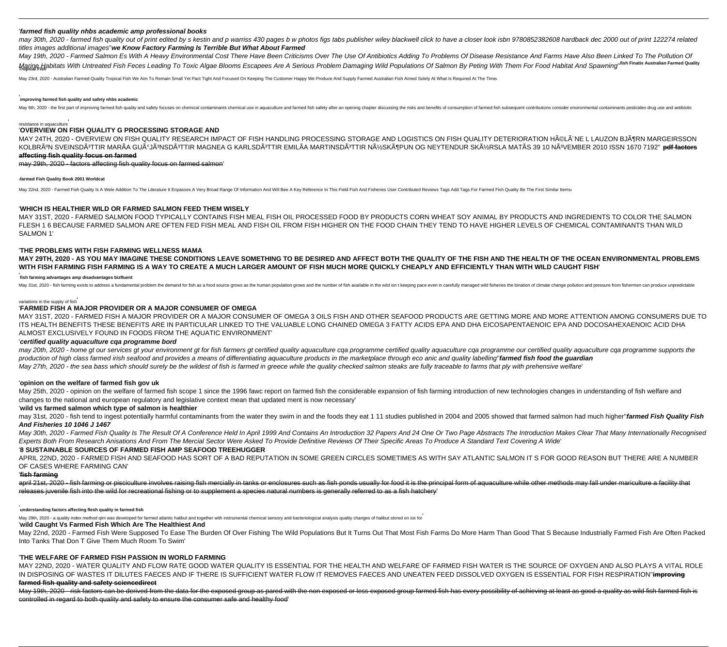#### '**farmed fish quality nhbs academic amp professional books**

may 30th. 2020 - farmed fish quality out of print edited by s kestin and p warriss 430 pages b w photos figs tabs publisher wiley blackwell click to have a closer look isbn 9780852382608 hardback dec 2000 out of print 1222 titles images additional images''**we Know Factory Farming Is Terrible But What About Farmed**

May 19th, 2020 - Farmed Salmon Es With A Heavy Environmental Cost There Have Been Criticisms Over The Use Of Antibiotics Adding To Problems Of Disease Resistance And Farms Have Also Been Linked To The Pollution Of Marine Habitats With Untreated Fish Feces Leading To Toxic Algae Blooms Escapees Are A Serious Problem Damaging Wild Populations Of Salmon By Peting With Them For Food Habitat And Spawning' fish Finatix Australian Farmed Q

May 23rd, 2020 - Australian Farmed Quality Tropical Fish We Aim To Remain Small Yet Pact Tight And Focused On Keeping The Customer Happy We Produce And Supply Farmed Australian Fish Aimed Solely At What Is Required At The

#### ' **improving farmed fish quality and safety nhbs academic**

May 6th, 2020 - the first part of improving farmed fish quality and safety focuses on chemical contaminants chemical contaminants chemical use in aquaculture and farmed fish safety after an opening chapter discussing the r

#### resistance in aquaculture'

# '**OVERVIEW ON FISH QUALITY G PROCESSING STORAGE AND**

MAY 24TH, 2020 - OVERVIEW ON FISH QUALITY RESEARCH IMPACT OF FISH HANDLING PROCESSING STORAGE AND LOGISTICS ON FISH QUALITY DETERIORATION HéLÃ"NE L LAUZON BJöRN MARGEIRSSON KOLBRúN SVEINSDÃ<sup>3</sup>TTIR MARÃA GUúJÃ3NSDÃ3TTIR MAGNEA G KARLSDÃ3TTIR EMILÃA MARTINSDÃ3TTIR NýSKöPUN OG NEYTENDUR SKýRSLA MATÃS 39 10 NÃ3VEMBER 2010 ISSN 1670 7192" pdf factors **affecting fish quality focus on farmed**

# may 29th, 2020 - factors affecting fish quality focus on farmed salmon'

'**farmed Fish Quality Book 2001 Worldcat**

May 22nd, 2020 - Farmed Fish Quality Is A Wele Addition To The Literature It Enpasses A Very Broad Range Of Information And Will Bee A Key Reference In This Field Fish And Fisheries User Contributed Reviews Tags Add Tags F

#### '**WHICH IS HEALTHIER WILD OR FARMED SALMON FEED THEM WISELY**

MAY 31ST, 2020 - FARMED SALMON FOOD TYPICALLY CONTAINS FISH MEAL FISH OIL PROCESSED FOOD BY PRODUCTS CORN WHEAT SOY ANIMAL BY PRODUCTS AND INGREDIENTS TO COLOR THE SALMON FLESH 1 6 BECAUSE FARMED SALMON ARE OFTEN FED FISH MEAL AND FISH OIL FROM FISH HIGHER ON THE FOOD CHAIN THEY TEND TO HAVE HIGHER LEVELS OF CHEMICAL CONTAMINANTS THAN WILD SALMON 1'

#### '**THE PROBLEMS WITH FISH FARMING WELLNESS MAMA**

**MAY 29TH, 2020 - AS YOU MAY IMAGINE THESE CONDITIONS LEAVE SOMETHING TO BE DESIRED AND AFFECT BOTH THE QUALITY OF THE FISH AND THE HEALTH OF THE OCEAN ENVIRONMENTAL PROBLEMS WITH FISH FARMING FISH FARMING IS A WAY TO CREATE A MUCH LARGER AMOUNT OF FISH MUCH MORE QUICKLY CHEAPLY AND EFFICIENTLY THAN WITH WILD CAUGHT FISH**'

#### ' **fish farming advantages amp disadvantages bizfluent**

May 31st, 2020 - fish farming exists to address a fundamental problem the demand for fish as a food source grows as the human population grows and the number of fish available in the wild isn t keeping pace even in careful

#### variations in the supply of fish'

# '**FARMED FISH A MAJOR PROVIDER OR A MAJOR CONSUMER OF OMEGA**

MAY 31ST, 2020 - FARMED FISH A MAJOR PROVIDER OR A MAJOR CONSUMER OF OMEGA 3 OILS FISH AND OTHER SEAFOOD PRODUCTS ARE GETTING MORE AND MORE ATTENTION AMONG CONSUMERS DUE TO ITS HEALTH BENEFITS THESE BENEFITS ARE IN PARTICULAR LINKED TO THE VALUABLE LONG CHAINED OMEGA 3 FATTY ACIDS EPA AND DHA EICOSAPENTAENOIC EPA AND DOCOSAHEXAENOIC ACID DHA ALMOST EXCLUSIVELY FOUND IN FOODS FROM THE AQUATIC ENVIRONMENT'

### '**certified quality aquaculture cqa programme bord**

may 20th, 2020 - home at our services at your environment at for fish farmers at certified quality aquaculture caa programme certified quality aquaculture caa programme our certified quality aquaculture coa programme suppo production of high class farmed irish seafood and provides a means of differentiating aquaculture products in the marketplace through eco anic and quality labelling''**farmed fish food the guardian** May 27th, 2020 - the sea bass which should surely be the wildest of fish is farmed in greece while the quality checked salmon steaks are fully traceable to farms that ply with prehensive welfare'

#### '**opinion on the welfare of farmed fish gov uk**

May 25th, 2020 - opinion on the welfare of farmed fish scope 1 since the 1996 fawc report on farmed fish the considerable expansion of fish farming introduction of new technologies changes in understanding of fish welfare changes to the national and european regulatory and legislative context mean that updated ment is now necessary'

#### '**wild vs farmed salmon which type of salmon is healthier**

may 31st, 2020 - fish tend to ingest potentially harmful contaminants from the water they swim in and the foods they eat 1 11 studies published in 2004 and 2005 showed that farmed salmon had much higher"farmed Fish Quality **And Fisheries 10 1046 J 1467**

May 30th, 2020 - Farmed Fish Quality Is The Result Of A Conference Held In April 1999 And Contains An Introduction 32 Papers And 24 One Or Two Page Abstracts The Introduction Makes Clear That Many Internationally Recognise Experts Both From Research Anisations And From The Mercial Sector Were Asked To Provide Definitive Reviews Of Their Specific Areas To Produce A Standard Text Covering A Wide'

# '**8 SUSTAINABLE SOURCES OF FARMED FISH AMP SEAFOOD TREEHUGGER**

APRIL 22ND, 2020 - FARMED FISH AND SEAFOOD HAS SORT OF A BAD REPUTATION IN SOME GREEN CIRCLES SOMETIMES AS WITH SAY ATLANTIC SALMON IT S FOR GOOD REASON BUT THERE ARE A NUMBER OF CASES WHERE FARMING CAN'

#### '**fish farming**

april 21st, 2020 - fish farming or pisciculture involves raising fish mercially in tanks or enclosures such as fish ponds usually for food it is the principal form of aquaculture while other methods may fall under maricult releases juvenile fish into the wild for recreational fishing or to supplement a species natural numbers is generally referred to as a fish hatchery'

#### '**understanding factors affecting flesh quality in farmed fish**

May 29th, 2020 - a quality index method qim was developed for farmed atlantic halibut and together with instrumental chemical sensory and bacteriological analysis quality changes of halibut stored on ice for

## '**wild Caught Vs Farmed Fish Which Are The Healthiest And**

May 22nd, 2020 - Farmed Fish Were Supposed To Ease The Burden Of Over Fishing The Wild Populations But It Turns Out That Most Fish Farms Do More Harm Than Good That S Because Industrially Farmed Fish Are Often Packed Into Tanks That Don T Give Them Much Room To Swim'

#### '**THE WELFARE OF FARMED FISH PASSION IN WORLD FARMING**

MAY 22ND, 2020 - WATER QUALITY AND FLOW RATE GOOD WATER QUALITY IS ESSENTIAL FOR THE HEALTH AND WELFARE OF FARMED FISH WATER IS THE SOURCE OF OXYGEN AND ALSO PLAYS A VITAL ROLE IN DISPOSING OF WASTES IT DILUTES FAECES AND IF THERE IS SUFFICIENT WATER FLOW IT REMOVES FAECES AND UNEATEN FEED DISSOLVED OXYGEN IS ESSENTIAL FOR FISH RESPIRATION''**improving farmed fish quality and safety sciencedirect**

May 19th, 2020 - risk factors can be derived from the data for the exposed group as pared with the non exposed or less exposed group farmed fish has every possibility of achieving at least as good a quality as wild fish fa controlled in regard to both quality and safety to ensure the consumer safe and healthy food'